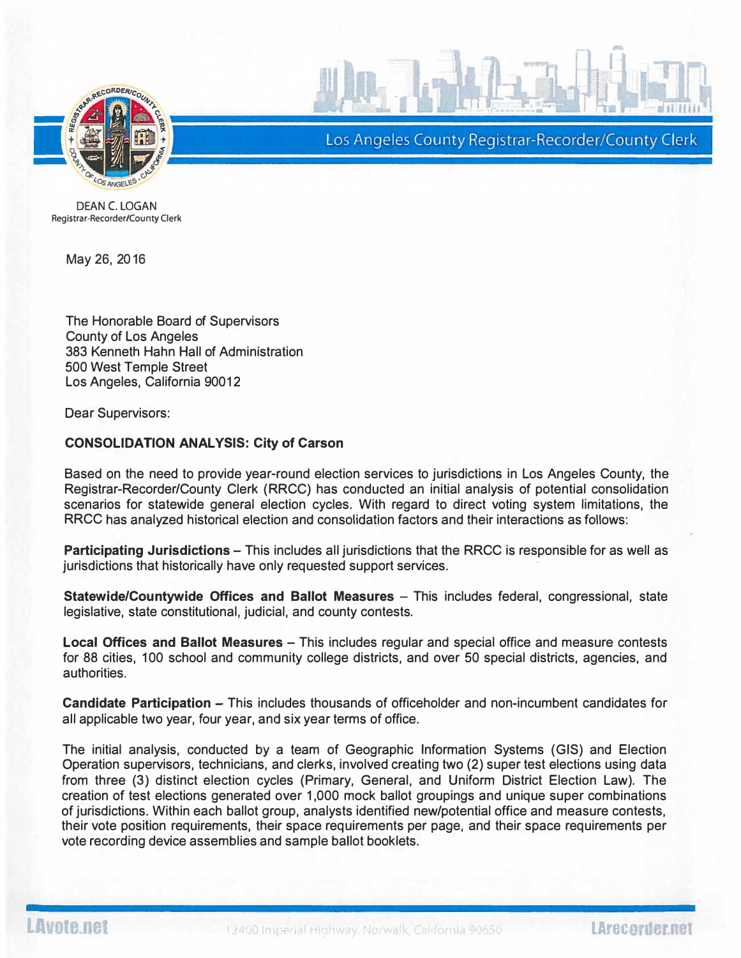

Los Angeles County Registrar-Recorder/County Clerk

-

DEAN C. LOGAN Registrar-Recorder/County Clerk

May 26, 2016

The Honorable Board of Supervisors County of Los Angeles 383 Kenneth Hahn Hall of Administration 500 West Temple Street Los Angeles, California 90012

Dear Supervisors:

## CONSOLIDATION ANALYSIS: City of Carson

Based on the need to provide year-round election services to jurisdictions in Los Angeles County, the Registrar-Recorder/County Clerk (RRCC) has conducted an initial analysis of potential consolidation scenarios for statewide general election cycles. With regard to direct voting system limitations, the RRCC has analyzed historical election and consolidation factors and their interactions as follows:

Participating Jurisdictions – This includes all jurisdictions that the RRCC is responsible for as well as jurisdictions that historically have only requested support services.

Statewide/Countywide Offices and Ballot Measures - This includes federal, congressional, state legislative, state constitutional, judicial, and county contests.

Local Offices and Ballot Measures - This includes regular and special office and measure contests for 88 cities, 100 school and community college districts, and over 50 special districts, agencies, and authorities.

Candidate Participation – This includes thousands of officeholder and non-incumbent candidates for all applicable two year, four year, and six year terms of office.

The initial analysis, conducted by a team of Geographic Information Systems (GIS) and Election Operation supervisors, technicians, and clerks, involved creating two (2) super test elections using data from three (3) distinct election cycles (Primary, General, and Uniform District Election Law). The creation of test elections generated over 1 ,000 mock ballot groupings and unique super combinations of jurisdictions. Within each ballot group, analysts identified new/potential office and measure contests, their vote position requirements, their space requirements per page, and their space requirements per vote recording device assemblies and sample ballot booklets.